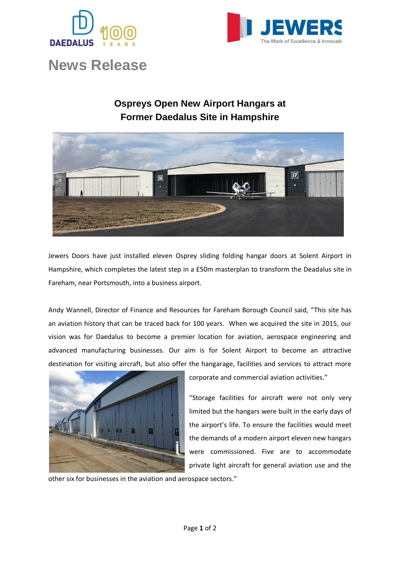



## **News Release**

## **Ospreys Open New Airport Hangars at Former Daedalus Site in Hampshire**



Jewers Doors have just installed eleven Osprey sliding folding hangar doors at Solent Airport in Hampshire, which completes the latest step in a £50m masterplan to transform the Deadalus site in Fareham, near Portsmouth, into a business airport.

Andy Wannell, Director of Finance and Resources for Fareham Borough Council said, "This site has an aviation history that can be traced back for 100 years. When we acquired the site in 2015, our vision was for Daedalus to become a premier location for aviation, aerospace engineering and advanced manufacturing businesses. Our aim is for Solent Airport to become an attractive destination for visiting aircraft, but also offer the hangarage, facilities and services to attract more



corporate and commercial aviation activities."

"Storage facilities for aircraft were not only very limited but the hangars were built in the early days of the airport's life. To ensure the facilities would meet the demands of a modern airport eleven new hangars were commissioned. Five are to accommodate private light aircraft for general aviation use and the

other six for businesses in the aviation and aerospace sectors."